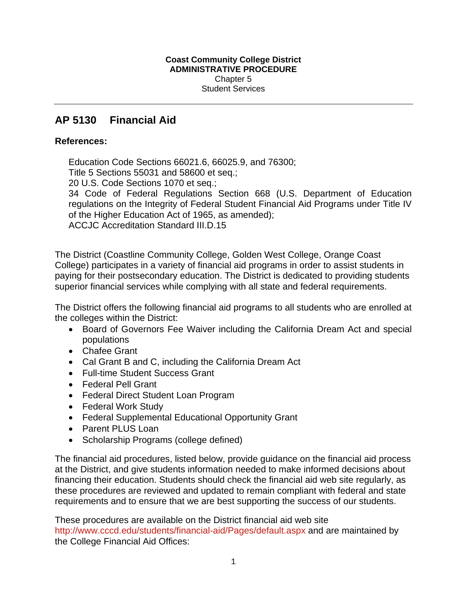# **AP 5130 Financial Aid**

# **References:**

Education Code Sections 66021.6, 66025.9, and 76300; Title 5 Sections 55031 and 58600 et seq.;

20 U.S. Code Sections 1070 et seq.;

34 Code of Federal Regulations Section 668 (U.S. Department of Education regulations on the Integrity of Federal Student Financial Aid Programs under Title IV of the Higher Education Act of 1965, as amended); ACCJC Accreditation Standard III.D.15

The District (Coastline Community College, Golden West College, Orange Coast College) participates in a variety of financial aid programs in order to assist students in paying for their postsecondary education. The District is dedicated to providing students superior financial services while complying with all state and federal requirements.

The District offers the following financial aid programs to all students who are enrolled at the colleges within the District:

- Board of Governors Fee Waiver including the California Dream Act and special populations
- Chafee Grant
- Cal Grant B and C, including the California Dream Act
- Full-time Student Success Grant
- Federal Pell Grant
- Federal Direct Student Loan Program
- Federal Work Study
- Federal Supplemental Educational Opportunity Grant
- Parent PLUS Loan
- Scholarship Programs (college defined)

The financial aid procedures, listed below, provide guidance on the financial aid process at the District, and give students information needed to make informed decisions about financing their education. Students should check the financial aid web site regularly, as these procedures are reviewed and updated to remain compliant with federal and state requirements and to ensure that we are best supporting the success of our students.

These procedures are available on the District financial aid web site http://www.cccd.edu/students/financial-aid/Pages/default.aspx and are maintained by the College Financial Aid Offices: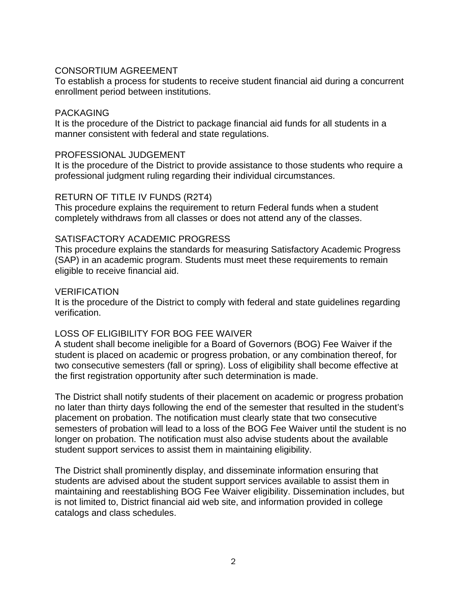# CONSORTIUM AGREEMENT

To establish a process for students to receive student financial aid during a concurrent enrollment period between institutions.

### PACKAGING

It is the procedure of the District to package financial aid funds for all students in a manner consistent with federal and state regulations.

#### PROFESSIONAL JUDGEMENT

It is the procedure of the District to provide assistance to those students who require a professional judgment ruling regarding their individual circumstances.

### RETURN OF TITLE IV FUNDS (R2T4)

This procedure explains the requirement to return Federal funds when a student completely withdraws from all classes or does not attend any of the classes.

### SATISFACTORY ACADEMIC PROGRESS

This procedure explains the standards for measuring Satisfactory Academic Progress (SAP) in an academic program. Students must meet these requirements to remain eligible to receive financial aid.

#### VERIFICATION

It is the procedure of the District to comply with federal and state guidelines regarding verification.

# LOSS OF ELIGIBILITY FOR BOG FEE WAIVER

A student shall become ineligible for a Board of Governors (BOG) Fee Waiver if the student is placed on academic or progress probation, or any combination thereof, for two consecutive semesters (fall or spring). Loss of eligibility shall become effective at the first registration opportunity after such determination is made.

The District shall notify students of their placement on academic or progress probation no later than thirty days following the end of the semester that resulted in the student's placement on probation. The notification must clearly state that two consecutive semesters of probation will lead to a loss of the BOG Fee Waiver until the student is no longer on probation. The notification must also advise students about the available student support services to assist them in maintaining eligibility.

The District shall prominently display, and disseminate information ensuring that students are advised about the student support services available to assist them in maintaining and reestablishing BOG Fee Waiver eligibility. Dissemination includes, but is not limited to, District financial aid web site, and information provided in college catalogs and class schedules.